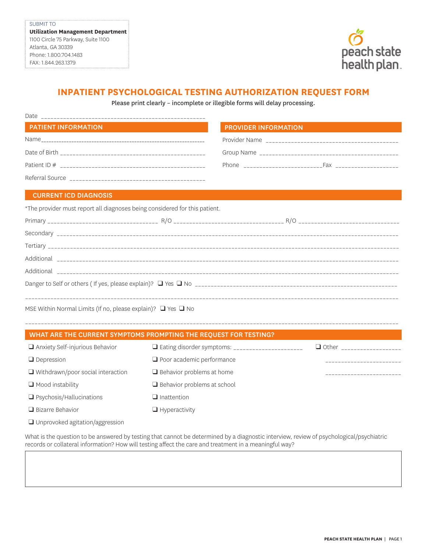

## **INPATIENT PSYCHOLOGICAL TESTING AUTHORIZATION REQUEST FORM**

Please print clearly – incomplete or illegible forms will delay processing.

| Date                       |                                                              |  |  |
|----------------------------|--------------------------------------------------------------|--|--|
| <b>PATIENT INFORMATION</b> | <b>PROVIDER INFORMATION</b>                                  |  |  |
|                            |                                                              |  |  |
|                            |                                                              |  |  |
|                            | Phone _________________________<br>Fax _____________________ |  |  |
| Referral Source            |                                                              |  |  |

## CURRENT ICD DIAGNOSIS

\*The provider must report all diagnoses being considered for this patient.

\_\_\_\_\_\_\_\_\_\_\_\_\_\_\_\_\_\_\_\_\_\_\_\_\_\_\_\_\_\_\_\_\_\_\_\_\_\_\_\_\_\_\_\_\_\_\_\_\_\_\_\_\_\_\_\_\_\_\_\_\_\_\_\_\_\_\_\_\_\_\_\_\_\_\_\_\_\_\_\_\_\_\_\_\_\_\_\_\_\_\_\_\_\_\_\_\_\_\_\_\_\_\_\_\_\_\_\_\_\_\_\_\_\_\_\_\_\_

MSE Within Normal Limits (If no, please explain)? ❑ Yes ❑ No

|                                        | WHAT ARE THE CURRENT SYMPTOMS PROMPTING THE REQUEST FOR TESTING? |              |
|----------------------------------------|------------------------------------------------------------------|--------------|
| $\Box$ Anxiety Self-injurious Behavior | $\Box$ Eating disorder symptoms: ______________________          | $\Box$ Other |
| $\Box$ Depression                      | $\Box$ Poor academic performance                                 |              |

❑ Behavior problems at home ❑ Behavior problems at school

❑ Inattention ❑ Hyperactivity

|  | $\Box$ Withdrawn/poor social interaction |  |
|--|------------------------------------------|--|
|  |                                          |  |

❑ Mood instability

- ❑ Psychosis/Hallucinations
- ❑ Bizarre Behavior
- ❑ Unprovoked agitation/aggression

What is the question to be answered by testing that cannot be determined by a diagnostic interview, review of psychological/psychiatric records or collateral information? How will testing affect the care and treatment in a meaningful way?

\_\_\_\_\_\_\_\_\_\_\_\_\_\_\_\_\_\_\_\_\_\_\_\_